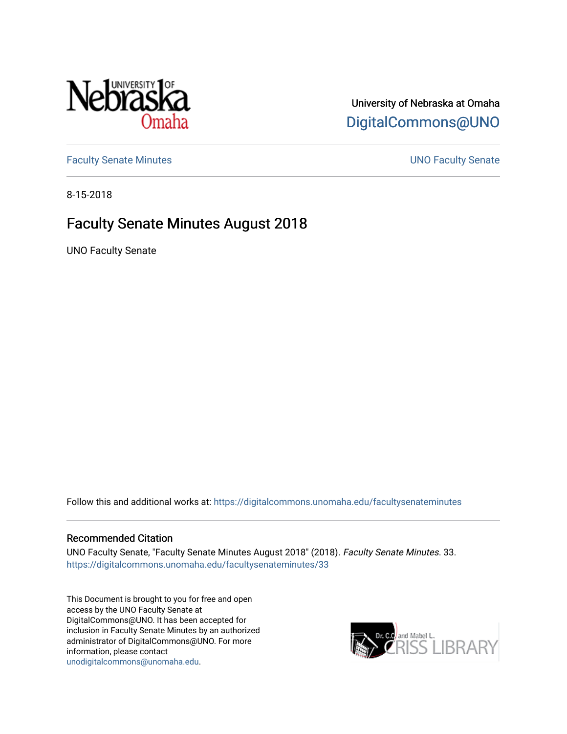

## University of Nebraska at Omaha [DigitalCommons@UNO](https://digitalcommons.unomaha.edu/)

[Faculty Senate Minutes](https://digitalcommons.unomaha.edu/facultysenateminutes) **Example 2018** UNO Faculty Senate

8-15-2018

## Faculty Senate Minutes August 2018

UNO Faculty Senate

Follow this and additional works at: [https://digitalcommons.unomaha.edu/facultysenateminutes](https://digitalcommons.unomaha.edu/facultysenateminutes?utm_source=digitalcommons.unomaha.edu%2Ffacultysenateminutes%2F33&utm_medium=PDF&utm_campaign=PDFCoverPages) 

#### Recommended Citation

UNO Faculty Senate, "Faculty Senate Minutes August 2018" (2018). Faculty Senate Minutes. 33. [https://digitalcommons.unomaha.edu/facultysenateminutes/33](https://digitalcommons.unomaha.edu/facultysenateminutes/33?utm_source=digitalcommons.unomaha.edu%2Ffacultysenateminutes%2F33&utm_medium=PDF&utm_campaign=PDFCoverPages) 

This Document is brought to you for free and open access by the UNO Faculty Senate at DigitalCommons@UNO. It has been accepted for inclusion in Faculty Senate Minutes by an authorized administrator of DigitalCommons@UNO. For more information, please contact [unodigitalcommons@unomaha.edu.](mailto:unodigitalcommons@unomaha.edu)

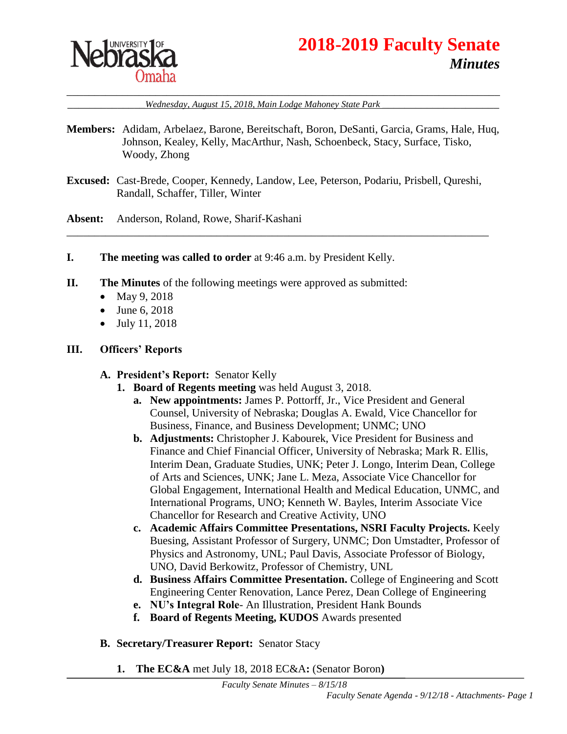

# **2018-2019 Faculty Senate** *Minutes*

\_\_\_\_\_\_\_\_\_\_\_\_\_\_*Wednesday, August 15, 2018, Main Lodge Mahoney State Park* \_\_\_\_\_\_\_\_\_\_\_\_\_\_\_\_\_\_\_\_\_

- **Members:** Adidam, Arbelaez, Barone, Bereitschaft, Boron, DeSanti, Garcia, Grams, Hale, Huq, Johnson, Kealey, Kelly, MacArthur, Nash, Schoenbeck, Stacy, Surface, Tisko, Woody, Zhong
- **Excused:** Cast-Brede, Cooper, Kennedy, Landow, Lee, Peterson, Podariu, Prisbell, Qureshi, Randall, Schaffer, Tiller, Winter

\_\_\_\_\_\_\_\_\_\_\_\_\_\_\_\_\_\_\_\_\_\_\_\_\_\_\_\_\_\_\_\_\_\_\_\_\_\_\_\_\_\_\_\_\_\_\_\_\_\_\_\_\_\_\_\_\_\_\_\_\_\_\_\_\_\_\_\_\_\_\_\_\_\_\_\_

**Absent:** Anderson, Roland, Rowe, Sharif-Kashani

- **I. The meeting was called to order** at 9:46 a.m. by President Kelly.
- **II. The Minutes** of the following meetings were approved as submitted:
	- May 9, 2018
	- June 6, 2018
	- $\bullet$  July 11, 2018

#### **III. Officers' Reports**

#### **A. President's Report:** Senator Kelly

- **1. Board of Regents meeting** was held August 3, 2018.
	- **a. New appointments:** James P. Pottorff, Jr., Vice President and General Counsel, University of Nebraska; Douglas A. Ewald, Vice Chancellor for Business, Finance, and Business Development; UNMC; UNO
	- **b. Adjustments:** Christopher J. Kabourek, Vice President for Business and Finance and Chief Financial Officer, University of Nebraska; Mark R. Ellis, Interim Dean, Graduate Studies, UNK; Peter J. Longo, Interim Dean, College of Arts and Sciences, UNK; Jane L. Meza, Associate Vice Chancellor for Global Engagement, International Health and Medical Education, UNMC, and International Programs, UNO; Kenneth W. Bayles, Interim Associate Vice Chancellor for Research and Creative Activity, UNO
	- **c. Academic Affairs Committee Presentations, NSRI Faculty Projects.** Keely Buesing, Assistant Professor of Surgery, UNMC; Don Umstadter, Professor of Physics and Astronomy, UNL; Paul Davis, Associate Professor of Biology, UNO, David Berkowitz, Professor of Chemistry, UNL
	- **d. Business Affairs Committee Presentation.** College of Engineering and Scott Engineering Center Renovation, Lance Perez, Dean College of Engineering
	- **e. NU's Integral Role** An Illustration, President Hank Bounds
	- **f. Board of Regents Meeting, KUDOS** Awards presented
- **B. Secretary/Treasurer Report:** Senator Stacy
	- **1. The EC&A** met July 18, 2018 EC&A**:** (Senator Boron**)**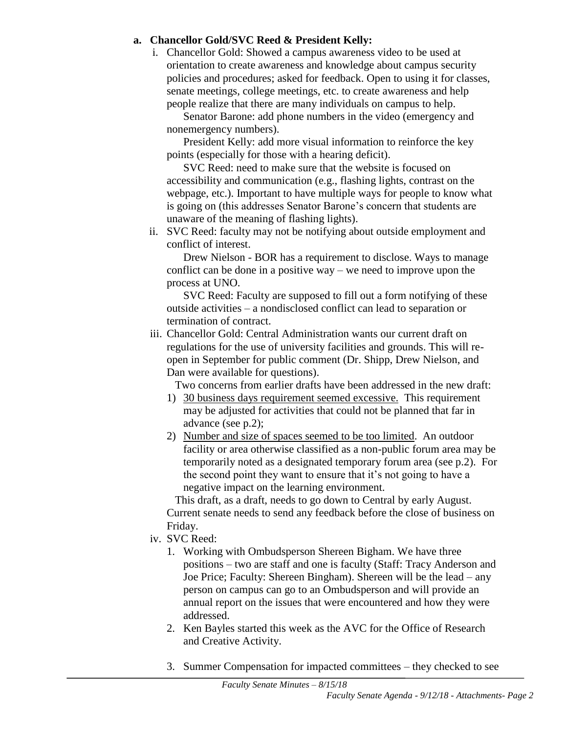### **a. Chancellor Gold/SVC Reed & President Kelly:**

i. Chancellor Gold: Showed a campus awareness video to be used at orientation to create awareness and knowledge about campus security policies and procedures; asked for feedback. Open to using it for classes, senate meetings, college meetings, etc. to create awareness and help people realize that there are many individuals on campus to help.

Senator Barone: add phone numbers in the video (emergency and nonemergency numbers).

President Kelly: add more visual information to reinforce the key points (especially for those with a hearing deficit).

SVC Reed: need to make sure that the website is focused on accessibility and communication (e.g., flashing lights, contrast on the webpage, etc.). Important to have multiple ways for people to know what is going on (this addresses Senator Barone's concern that students are unaware of the meaning of flashing lights).

ii. SVC Reed: faculty may not be notifying about outside employment and conflict of interest.

Drew Nielson - BOR has a requirement to disclose. Ways to manage conflict can be done in a positive way – we need to improve upon the process at UNO.

SVC Reed: Faculty are supposed to fill out a form notifying of these outside activities – a nondisclosed conflict can lead to separation or termination of contract.

iii. Chancellor Gold: Central Administration wants our current draft on regulations for the use of university facilities and grounds. This will reopen in September for public comment (Dr. Shipp, Drew Nielson, and Dan were available for questions).

Two concerns from earlier drafts have been addressed in the new draft:

- 1) 30 business days requirement seemed excessive. This requirement may be adjusted for activities that could not be planned that far in advance (see p.2);
- 2) Number and size of spaces seemed to be too limited. An outdoor facility or area otherwise classified as a non-public forum area may be temporarily noted as a designated temporary forum area (see p.2). For the second point they want to ensure that it's not going to have a negative impact on the learning environment.

This draft, as a draft, needs to go down to Central by early August. Current senate needs to send any feedback before the close of business on Friday.

- iv. SVC Reed:
	- 1. Working with Ombudsperson Shereen Bigham. We have three positions – two are staff and one is faculty (Staff: Tracy Anderson and Joe Price; Faculty: Shereen Bingham). Shereen will be the lead – any person on campus can go to an Ombudsperson and will provide an annual report on the issues that were encountered and how they were addressed.
	- 2. Ken Bayles started this week as the AVC for the Office of Research and Creative Activity.
	- 3. Summer Compensation for impacted committees they checked to see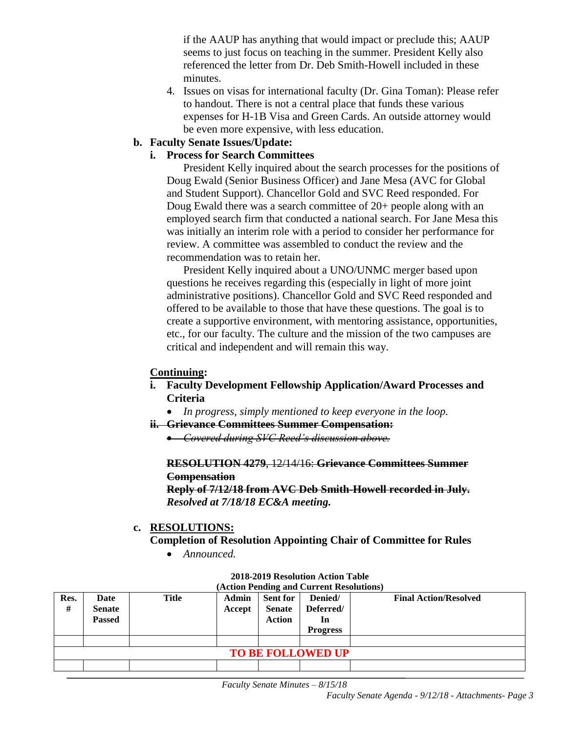if the AAUP has anything that would impact or preclude this; AAUP seems to just focus on teaching in the summer. President Kelly also referenced the letter from Dr. Deb Smith-Howell included in these minutes.

4. Issues on visas for international faculty (Dr. Gina Toman): Please refer to handout. There is not a central place that funds these various expenses for H-1B Visa and Green Cards. An outside attorney would be even more expensive, with less education.

#### **b. Faculty Senate Issues/Update:**

#### **i. Process for Search Committees**

President Kelly inquired about the search processes for the positions of Doug Ewald (Senior Business Officer) and Jane Mesa (AVC for Global and Student Support). Chancellor Gold and SVC Reed responded. For Doug Ewald there was a search committee of 20+ people along with an employed search firm that conducted a national search. For Jane Mesa this was initially an interim role with a period to consider her performance for review. A committee was assembled to conduct the review and the recommendation was to retain her.

President Kelly inquired about a UNO/UNMC merger based upon questions he receives regarding this (especially in light of more joint administrative positions). Chancellor Gold and SVC Reed responded and offered to be available to those that have these questions. The goal is to create a supportive environment, with mentoring assistance, opportunities, etc., for our faculty. The culture and the mission of the two campuses are critical and independent and will remain this way.

#### **Continuing:**

#### **i. Faculty Development Fellowship Application/Award Processes and Criteria**

- *In progress, simply mentioned to keep everyone in the loop.*
- **ii. Grievance Committees Summer Compensation:**

*Covered during SVC Reed's discussion above.*

#### **RESOLUTION 4279**, 12/14/16: **Grievance Committees Summer Compensation**

**Reply of 7/12/18 from AVC Deb Smith-Howell recorded in July.**  *Resolved at 7/18/18 EC&A meeting.*

#### **c. RESOLUTIONS:**

**Completion of Resolution Appointing Chair of Committee for Rules**

*Announced.*

| Res.<br>#                | Date<br><b>Senate</b> | <b>Title</b> | Admin<br>Accept | <b>Sent for</b><br><b>Senate</b> | (Action Pending and Current Resolutions)<br>Denied/<br>Deferred/ | <b>Final Action/Resolved</b> |  |  |  |
|--------------------------|-----------------------|--------------|-----------------|----------------------------------|------------------------------------------------------------------|------------------------------|--|--|--|
|                          | <b>Passed</b>         |              |                 | <b>Action</b>                    | In<br><b>Progress</b>                                            |                              |  |  |  |
|                          |                       |              |                 |                                  |                                                                  |                              |  |  |  |
| <b>TO BE FOLLOWED UP</b> |                       |              |                 |                                  |                                                                  |                              |  |  |  |
|                          |                       |              |                 |                                  |                                                                  |                              |  |  |  |

#### **2018-2019 Resolution Action Table (Action Pending and Current Resolutions)**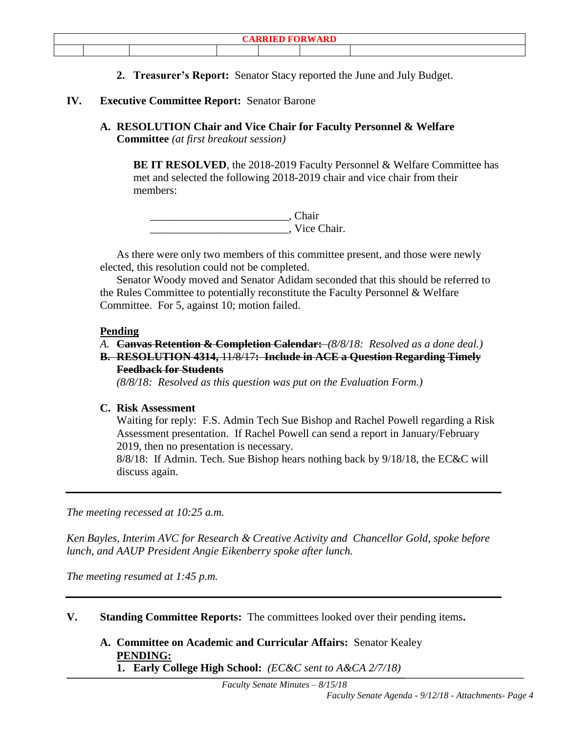**2. Treasurer's Report:** Senator Stacy reported the June and July Budget.

#### **IV. Executive Committee Report:** Senator Barone

**A. RESOLUTION Chair and Vice Chair for Faculty Personnel & Welfare Committee** *(at first breakout session)*

**BE IT RESOLVED**, the 2018-2019 Faculty Personnel & Welfare Committee has met and selected the following 2018-2019 chair and vice chair from their members:

\_\_\_\_\_\_\_\_\_\_\_\_\_\_\_\_\_\_\_\_\_\_\_\_\_, Chair \_\_\_\_\_\_\_\_\_\_\_\_\_\_\_\_\_\_\_\_\_\_\_\_\_, Vice Chair.

As there were only two members of this committee present, and those were newly elected, this resolution could not be completed.

Senator Woody moved and Senator Adidam seconded that this should be referred to the Rules Committee to potentially reconstitute the Faculty Personnel & Welfare Committee. For 5, against 10; motion failed.

#### **Pending**

#### *A.* **Canvas Retention & Completion Calendar:** *(8/8/18: Resolved as a done deal.)*

**B. RESOLUTION 4314,** 11/8/17**: Include in ACE a Question Regarding Timely Feedback for Students**

*(8/8/18: Resolved as this question was put on the Evaluation Form.)*

#### **C. Risk Assessment**

Waiting for reply: F.S. Admin Tech Sue Bishop and Rachel Powell regarding a Risk Assessment presentation. If Rachel Powell can send a report in January/February 2019, then no presentation is necessary.

8/8/18: If Admin. Tech. Sue Bishop hears nothing back by 9/18/18, the EC&C will discuss again.

*The meeting recessed at 10:25 a.m.*

*Ken Bayles, Interim AVC for Research & Creative Activity and Chancellor Gold, spoke before lunch, and AAUP President Angie Eikenberry spoke after lunch.*

*The meeting resumed at 1:45 p.m.* 

**V. Standing Committee Reports:** The committees looked over their pending items**.**

**A. Committee on Academic and Curricular Affairs:** Senator Kealey **PENDING:** 

**1. Early College High School:** *(EC&C sent to A&CA 2/7/18)*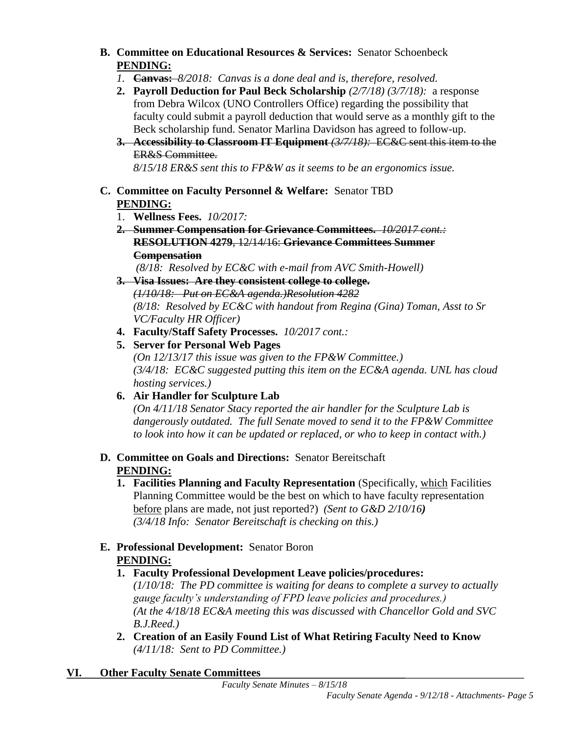- **B. Committee on Educational Resources & Services:** Senator Schoenbeck **PENDING:**
	- *1.* **Canvas:** *8/2018: Canvas is a done deal and is, therefore, resolved.*
	- **2. Payroll Deduction for Paul Beck Scholarship** *(2/7/18) (3/7/18):* a response from Debra Wilcox (UNO Controllers Office) regarding the possibility that faculty could submit a payroll deduction that would serve as a monthly gift to the Beck scholarship fund. Senator Marlina Davidson has agreed to follow-up.
	- **3. Accessibility to Classroom IT Equipment** *(3/7/18):* EC&C sent this item to the ER&S Committee.

*8/15/18 ER&S sent this to FP&W as it seems to be an ergonomics issue.* 

### **C. Committee on Faculty Personnel & Welfare:** Senator TBD **PENDING:**

- 1. **Wellness Fees.** *10/2017:*
- **2. Summer Compensation for Grievance Committees.** *10/2017 cont.:* **RESOLUTION 4279**, 12/14/16: **Grievance Committees Summer Compensation**

*(8/18: Resolved by EC&C with e-mail from AVC Smith-Howell)*

### **3. Visa Issues: Are they consistent college to college.**

*(1/10/18: Put on EC&A agenda.)Resolution 4282 (8/18: Resolved by EC&C with handout from Regina (Gina) Toman, Asst to Sr VC/Faculty HR Officer)*

- **4. Faculty/Staff Safety Processes.** *10/2017 cont.:*
- **5. Server for Personal Web Pages**

*(On 12/13/17 this issue was given to the FP&W Committee.) (3/4/18: EC&C suggested putting this item on the EC&A agenda. UNL has cloud hosting services.)*

## **6. Air Handler for Sculpture Lab**

*(On 4/11/18 Senator Stacy reported the air handler for the Sculpture Lab is dangerously outdated. The full Senate moved to send it to the FP&W Committee to look into how it can be updated or replaced, or who to keep in contact with.)*

### **D. Committee on Goals and Directions:** Senator Bereitschaft **PENDING:**

**1. Facilities Planning and Faculty Representation** (Specifically, which Facilities Planning Committee would be the best on which to have faculty representation before plans are made, not just reported?) *(Sent to G&D 2/10/16) (3/4/18 Info: Senator Bereitschaft is checking on this.)* 

### **E. Professional Development:** Senator Boron **PENDING:**

**1. Faculty Professional Development Leave policies/procedures:** 

*(1/10/18: The PD committee is waiting for deans to complete a survey to actually gauge faculty's understanding of FPD leave policies and procedures.) (At the 4/18/18 EC&A meeting this was discussed with Chancellor Gold and SVC B.J.Reed.)*

**2. Creation of an Easily Found List of What Retiring Faculty Need to Know** *(4/11/18: Sent to PD Committee.)*

## **VI. Other Faculty Senate Committees**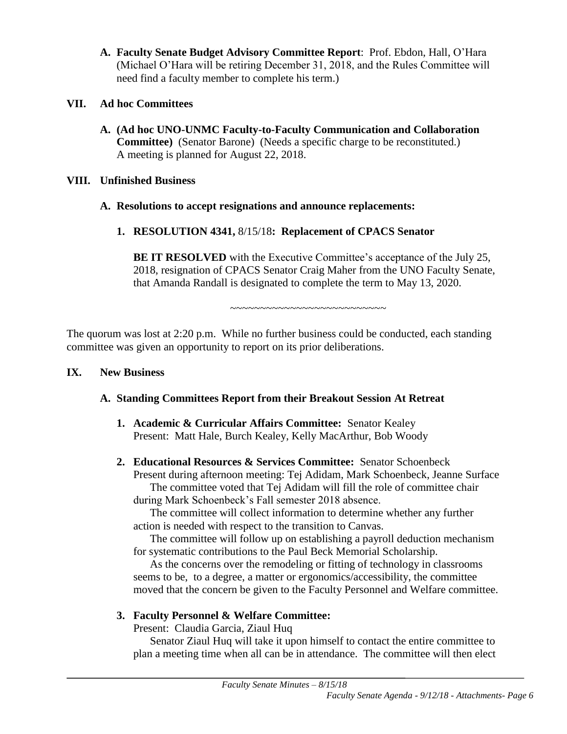**A. Faculty Senate Budget Advisory Committee Report**: Prof. Ebdon, Hall, O'Hara (Michael O'Hara will be retiring December 31, 2018, and the Rules Committee will need find a faculty member to complete his term.)

### **VII. Ad hoc Committees**

**A. (Ad hoc UNO-UNMC Faculty-to-Faculty Communication and Collaboration Committee)** (Senator Barone) (Needs a specific charge to be reconstituted.) A meeting is planned for August 22, 2018.

### **VIII. Unfinished Business**

### **A. Resolutions to accept resignations and announce replacements:**

**1. RESOLUTION 4341,** 8/15/18**: Replacement of CPACS Senator**

**BE IT RESOLVED** with the Executive Committee's acceptance of the July 25, 2018, resignation of CPACS Senator Craig Maher from the UNO Faculty Senate, that Amanda Randall is designated to complete the term to May 13, 2020.

~~~~~~~~~~~~~~~~~~~~~~~~~~

The quorum was lost at 2:20 p.m. While no further business could be conducted, each standing committee was given an opportunity to report on its prior deliberations.

### **IX. New Business**

### **A. Standing Committees Report from their Breakout Session At Retreat**

- **1. Academic & Curricular Affairs Committee:** Senator Kealey Present: Matt Hale, Burch Kealey, Kelly MacArthur, Bob Woody
- **2. Educational Resources & Services Committee:** Senator Schoenbeck Present during afternoon meeting: Tej Adidam, Mark Schoenbeck, Jeanne Surface The committee voted that Tej Adidam will fill the role of committee chair during Mark Schoenbeck's Fall semester 2018 absence.

The committee will collect information to determine whether any further action is needed with respect to the transition to Canvas.

The committee will follow up on establishing a payroll deduction mechanism for systematic contributions to the Paul Beck Memorial Scholarship.

As the concerns over the remodeling or fitting of technology in classrooms seems to be, to a degree, a matter or ergonomics/accessibility, the committee moved that the concern be given to the Faculty Personnel and Welfare committee.

### **3. Faculty Personnel & Welfare Committee:**

Present: Claudia Garcia, Ziaul Huq

Senator Ziaul Huq will take it upon himself to contact the entire committee to plan a meeting time when all can be in attendance. The committee will then elect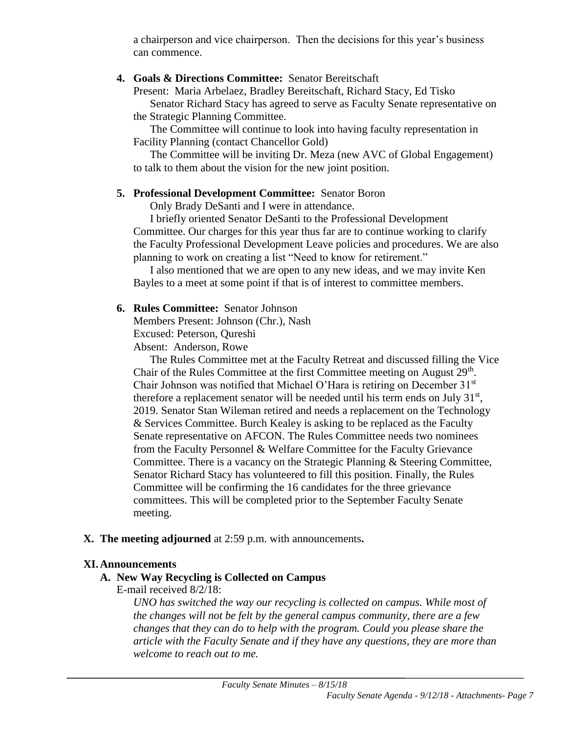a chairperson and vice chairperson. Then the decisions for this year's business can commence.

### **4. Goals & Directions Committee:** Senator Bereitschaft

Present: Maria Arbelaez, Bradley Bereitschaft, Richard Stacy, Ed Tisko Senator Richard Stacy has agreed to serve as Faculty Senate representative on

the Strategic Planning Committee.

The Committee will continue to look into having faculty representation in Facility Planning (contact Chancellor Gold)

The Committee will be inviting Dr. Meza (new AVC of Global Engagement) to talk to them about the vision for the new joint position.

### **5. Professional Development Committee:** Senator Boron

Only Brady DeSanti and I were in attendance.

I briefly oriented Senator DeSanti to the Professional Development Committee. Our charges for this year thus far are to continue working to clarify the Faculty Professional Development Leave policies and procedures. We are also planning to work on creating a list "Need to know for retirement."

I also mentioned that we are open to any new ideas, and we may invite Ken Bayles to a meet at some point if that is of interest to committee members.

### **6. Rules Committee:** Senator Johnson

Members Present: Johnson (Chr.), Nash Excused: Peterson, Qureshi Absent: Anderson, Rowe

The Rules Committee met at the Faculty Retreat and discussed filling the Vice Chair of the Rules Committee at the first Committee meeting on August 29<sup>th</sup>. Chair Johnson was notified that Michael O'Hara is retiring on December 31<sup>st</sup> therefore a replacement senator will be needed until his term ends on July  $31<sup>st</sup>$ , 2019. Senator Stan Wileman retired and needs a replacement on the Technology & Services Committee. Burch Kealey is asking to be replaced as the Faculty Senate representative on AFCON. The Rules Committee needs two nominees from the Faculty Personnel & Welfare Committee for the Faculty Grievance Committee. There is a vacancy on the Strategic Planning & Steering Committee, Senator Richard Stacy has volunteered to fill this position. Finally, the Rules Committee will be confirming the 16 candidates for the three grievance committees. This will be completed prior to the September Faculty Senate meeting.

### **X. The meeting adjourned** at 2:59 p.m. with announcements**.**

#### **XI.Announcements**

### **A. New Way Recycling is Collected on Campus**

E-mail received 8/2/18:

*UNO has switched the way our recycling is collected on campus. While most of the changes will not be felt by the general campus community, there are a few changes that they can do to help with the program. Could you please share the article with the Faculty Senate and if they have any questions, they are more than welcome to reach out to me.*